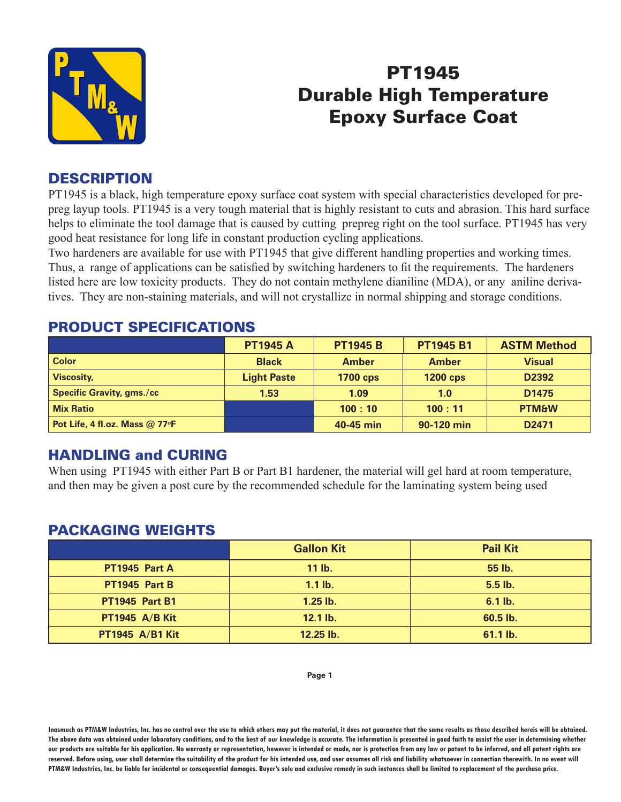

# PT1945 Durable High Temperature Epoxy Surface Coat

#### **DESCRIPTION**

PT1945 is a black, high temperature epoxy surface coat system with special characteristics developed for prepreg layup tools. PT1945 is a very tough material that is highly resistant to cuts and abrasion. This hard surface helps to eliminate the tool damage that is caused by cutting prepreg right on the tool surface. PT1945 has very good heat resistance for long life in constant production cycling applications.

Two hardeners are available for use with PT1945 that give different handling properties and working times. Thus, a range of applications can be satisfied by switching hardeners to fit the requirements. The hardeners listed here are low toxicity products. They do not contain methylene dianiline (MDA), or any aniline derivatives. They are non-staining materials, and will not crystallize in normal shipping and storage conditions.

|                                  | <b>PT1945 A</b>    | <b>PT1945 B</b> | <b>PT1945 B1</b> | <b>ASTM Method</b> |
|----------------------------------|--------------------|-----------------|------------------|--------------------|
| <b>Color</b>                     | <b>Black</b>       | <b>Amber</b>    | <b>Amber</b>     | <b>Visual</b>      |
| <b>Viscosity,</b>                | <b>Light Paste</b> | <b>1700 cps</b> | <b>1200 cps</b>  | D <sub>2392</sub>  |
| <b>Specific Gravity, gms./cc</b> | 1.53               | 1.09            | 1.0              | D <sub>1475</sub>  |
| <b>Mix Ratio</b>                 |                    | 100:10          | 100:11           | <b>PTM&amp;W</b>   |
| Pot Life, 4 fl.oz. Mass @ 77°F   |                    | 40-45 min       | 90-120 min       | D <sub>2471</sub>  |

#### PRODUCT SPECIFICATIONS

## HANDLING and CURING

When using PT1945 with either Part B or Part B1 hardener, the material will gel hard at room temperature, and then may be given a post cure by the recommended schedule for the laminating system being used

## PACKAGING WEIGHTS

|                        | <b>Gallon Kit</b> | <b>Pail Kit</b> |
|------------------------|-------------------|-----------------|
| PT1945 Part A          | $11$ lb.          | 55 lb.          |
| PT1945 Part B          | $1.1$ lb.         | 5.5 lb.         |
| <b>PT1945 Part B1</b>  | $1.25$ lb.        | $6.1$ lb.       |
| <b>PT1945 A/B Kit</b>  | 12.1 lb.          | 60.5 lb.        |
| <b>PT1945 A/B1 Kit</b> | 12.25 lb.         | 61.1 lb.        |

**Inasmuch as PTM&W Industries, Inc. has no control over the use to which others may put the material, it does not guarantee that the same results as those described hereis will be obtained. The above data was obtained under laboratory conditions, and to the best of our knowledge is accurate. The information is presented in good faith to assist the user in determining whether our products are suitable for his application. No warranty or representation, however is intended or made, nor is protection from any law or patent to be inferred, and all patent rights are**  reserved. Before using, user shall determine the suitability of the product for his intended use, and user assumes all risk and liability whatsoever in connection therewith. In no event will **PTM&W Industries, Inc. be liable for incidental or consequential damages. Buyer's sole and exclusive remedy in such instances shall be limited to replacement of the purchase price.**